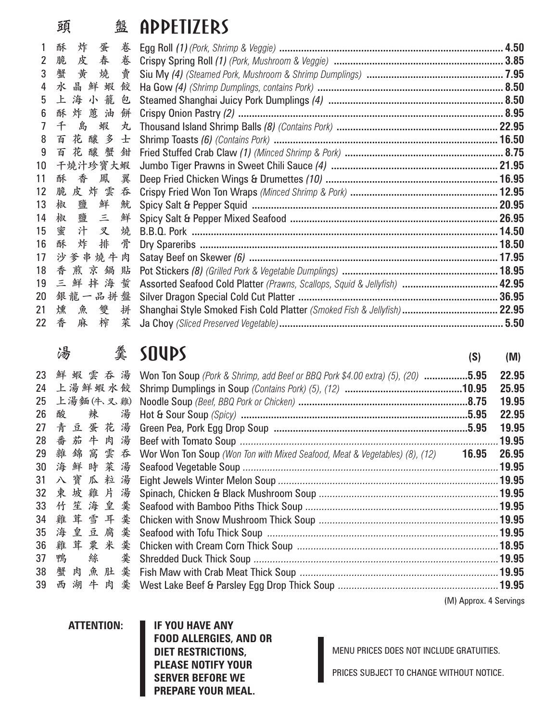## **頭 盤**

|                 | 巩<br>笽           | HPPEIIZEK)                                                               |  |
|-----------------|------------------|--------------------------------------------------------------------------|--|
|                 | 酥<br>炸<br>蛋<br>卷 |                                                                          |  |
| $2^{\circ}$     | 皮春卷<br>脆         |                                                                          |  |
| 3               | 蟹<br>黄燒賣         |                                                                          |  |
| 4               | 水晶鮮蝦<br>餃        |                                                                          |  |
| 5               | 上海小籠包            |                                                                          |  |
| 6               | 酥炸蒽油<br>餅        |                                                                          |  |
| $\overline{7}$  | 千島蝦<br>丸         |                                                                          |  |
| 8               | 百花釀多<br>士        |                                                                          |  |
| 9               | 百花釀蟹鉗            |                                                                          |  |
| 10 <sup>°</sup> | 干燒汁珍寶大蝦          |                                                                          |  |
| 11              | 酥香鳳翼             |                                                                          |  |
| 12 <sup>7</sup> | 脆皮炸雲吞            |                                                                          |  |
| 13 <sup>°</sup> | 椒鹽鮮魷             |                                                                          |  |
| 14              | 椒鹽三鮮             |                                                                          |  |
|                 | 15 蜜汁叉燒          |                                                                          |  |
|                 | 16 酥<br>炸排<br>骨  |                                                                          |  |
|                 | 17 沙爹串燒牛肉        |                                                                          |  |
|                 | 18 香煎京鍋貼         |                                                                          |  |
|                 |                  |                                                                          |  |
| 20              | 銀龍一品拼盤           |                                                                          |  |
| 21              | 燻魚雙拼             | Shanghai Style Smoked Fish Cold Platter (Smoked Fish & Jellyfish)  22.95 |  |
|                 | 菜<br>22 香<br>麻榨  |                                                                          |  |
|                 |                  |                                                                          |  |

### **湯 羹**

|    | 哂<br>筽       | <b>DUVP</b>                                                                    | (S)                    | (M)   |
|----|--------------|--------------------------------------------------------------------------------|------------------------|-------|
| 23 | 鮮蝦雲吞湯        | Won Ton Soup (Pork & Shrimp, add Beef or BBQ Pork \$4.00 extra) (5), (20) 5.95 |                        | 22.95 |
| 24 | 上湯鮮蝦水餃       |                                                                                |                        | 25.95 |
| 25 | 上湯麵(牛、叉雞)    |                                                                                |                        | 19.95 |
| 26 | 辣<br>酸<br>湯  |                                                                                |                        | 22.95 |
|    | 27 青豆蛋花湯     |                                                                                |                        | 19.95 |
| 28 | 番茄牛肉湯        |                                                                                |                        | 19.95 |
|    | 29 雜錦窩雲吞     | Wor Won Ton Soup (Won Ton with Mixed Seafood, Meat & Vegetables) (8), (12)     | 16.95                  | 26.95 |
|    | 30 海鮮時菜湯     |                                                                                |                        |       |
| 31 | 八寶瓜粒湯        |                                                                                |                        |       |
| 32 | 東坡雞片<br>湯    |                                                                                |                        |       |
| 33 | 竹<br>笙海皇羹    |                                                                                |                        |       |
| 34 | 雞茸雪耳羹        |                                                                                |                        |       |
| 35 | 海皇豆腐羹        |                                                                                |                        |       |
| 36 | 雞茸粟米羹        |                                                                                |                        |       |
| 37 | 鴨<br>絲<br>羹  |                                                                                |                        |       |
|    | 38 蟹肉魚肚<br>羹 |                                                                                |                        |       |
| 39 | 西湖牛肉         |                                                                                |                        |       |
|    |              |                                                                                | (M) Approx. 4 Servings |       |

**ATTENTION: IF YOU HAVE ANY FOOD ALLERGIES, AND OR DIET RESTRICTIONS, PLEASE NOTIFY YOUR SERVER BEFORE WE PREPARE YOUR MEAL.**

MENU PRICES DOES NOT INCLUDE GRATUITIES.

PRICES SUBJECT TO CHANGE WITHOUT NOTICE.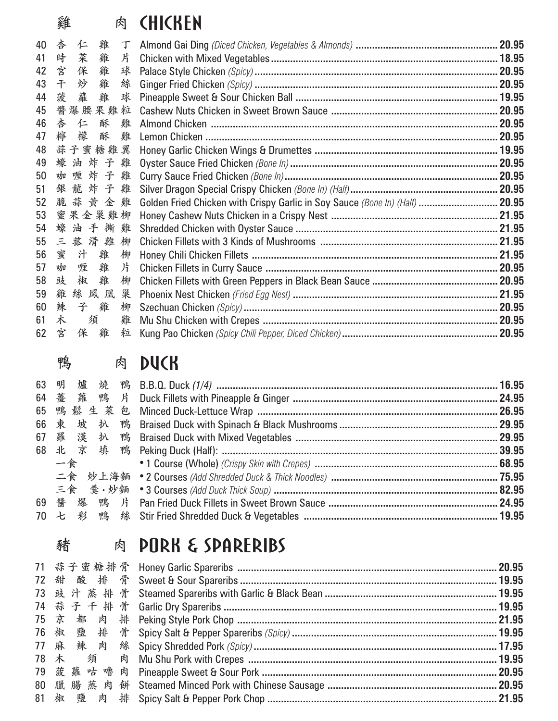## **雞 肉**

|    | 羿       |      | EST. | <b>STISDER</b>                                                                     |  |
|----|---------|------|------|------------------------------------------------------------------------------------|--|
| 40 | 杏<br>仁  | 雞    | T    |                                                                                    |  |
| 41 | 時<br>菜  | 雞    | 片    |                                                                                    |  |
| 42 | 宮<br>保  | 雞    | 球    |                                                                                    |  |
| 43 | 千<br>炒  | 雞    | 絲    |                                                                                    |  |
| 44 | 菠<br>蘿  | 雞    | 球    |                                                                                    |  |
| 45 | 醬爆腰果雞粒  |      |      |                                                                                    |  |
| 46 | 杏<br>仁  | 酥    | 雞    |                                                                                    |  |
| 47 | 檸<br>檬  | 酥 雞  |      |                                                                                    |  |
| 48 | 蒜子蜜糖雞翼  |      |      |                                                                                    |  |
| 49 | 蠔油炸子雞   |      |      |                                                                                    |  |
| 50 | 咖喱炸子雞   |      |      |                                                                                    |  |
| 51 |         |      |      |                                                                                    |  |
| 52 |         |      |      | 脆蒜黄金雞 Golden Fried Chicken with Crispy Garlic in Soy Sauce (Bone In) (Half)  20.95 |  |
| 53 | 蜜果金巢雞柳  |      |      |                                                                                    |  |
| 54 |         |      |      |                                                                                    |  |
| 55 | 三菰滑雞柳   |      |      |                                                                                    |  |
| 56 | 蜜<br>汁  | 雞    | 柳    |                                                                                    |  |
| 57 | 咖<br>喱  | 雞    | 片    |                                                                                    |  |
| 58 | 豉<br>椒  | 雞    | 柳    |                                                                                    |  |
| 59 | 雞       | 絲鳳凰巢 |      |                                                                                    |  |
| 60 | 辣<br>子雞 |      | 柳    |                                                                                    |  |
| 61 | 木       | 須    | 雞    |                                                                                    |  |
| 62 | 宮       | 保 雞  | 粒    |                                                                                    |  |

|  | 肉 |
|--|---|
|  |   |

64 薹

**鴨 肉**

66 束

### **DUCK**

|  | 64 薹  蘿  鸭  片 Duck Fillets with Pineapple & Ginger ………………………………………………………………………… 24.95                  |  |
|--|--------------------------------------------------------------------------------------------------------|--|
|  |                                                                                                        |  |
|  |                                                                                                        |  |
|  | 67    羅    漢     扒    鴨    Braised Duck with Mixed Vegetables ……………………………………………………………………………………………29.95 |  |
|  |                                                                                                        |  |
|  |                                                                                                        |  |
|  | 二食 炒上海麵 •2 Courses (Add Shredded Duck & Thick Noodles) ………………………………………………………… 75.95                    |  |
|  | 三食 羹•炒麵   •З Courses (Add Duck Thick Soup) ………………………………………………………………………… 82.95                          |  |
|  | 69 醬 爆 鴨 片 Pan Fried Duck Fillets in Sweet Brown Sauce ………………………………………………………………… 24.95                 |  |
|  | 70 七 彩 鴨 絲 Stir Fried Shredded Duck & Vegetables ………………………………………………………………………… 19.95                    |  |
|  |                                                                                                        |  |

## **豬 肉**

| 小日 |  |                                                                                               |
|----|--|-----------------------------------------------------------------------------------------------|
|    |  |                                                                                               |
|    |  |                                                                                               |
|    |  |                                                                                               |
|    |  |                                                                                               |
|    |  |                                                                                               |
|    |  |                                                                                               |
|    |  |                                                                                               |
|    |  |                                                                                               |
|    |  |                                                                                               |
|    |  |                                                                                               |
|    |  |                                                                                               |
|    |  | E PUKN G SPHKEKIDS<br>78 木  須  肉 Mu Shu Pork with Crepes …………………………………………………………………………………19.95 |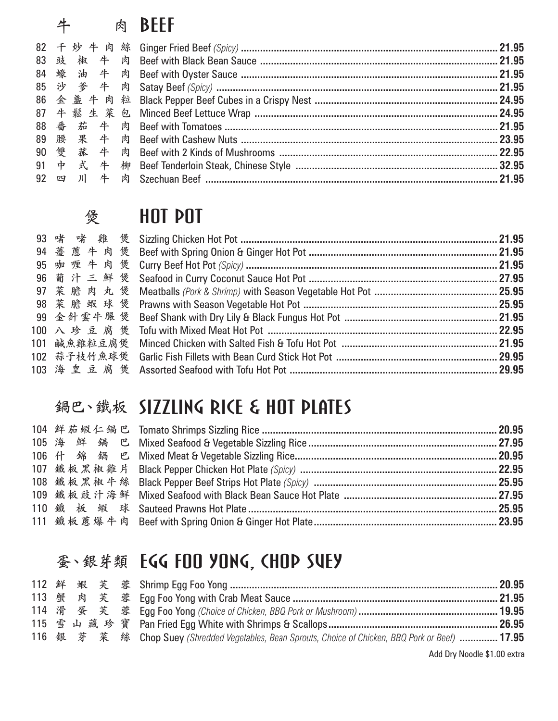|    |  | 肉 | <b>BFFF</b> |  |
|----|--|---|-------------|--|
| 82 |  |   |             |  |
|    |  |   |             |  |
|    |  |   |             |  |
|    |  |   |             |  |
|    |  |   |             |  |
|    |  |   |             |  |
|    |  |   |             |  |
|    |  |   |             |  |
| 90 |  |   |             |  |
|    |  |   |             |  |
|    |  |   |             |  |

| 煲 | <b>HOT POT</b> |  |
|---|----------------|--|
|   |                |  |
|   |                |  |
|   |                |  |
|   |                |  |
|   |                |  |
|   |                |  |
|   |                |  |
|   |                |  |
|   |                |  |
|   |                |  |
|   |                |  |

### **鍋巴、鐵板**

|  | 狗□ `戮衩 )】LLLINV KI\L G NUI PLHIL〉 |
|--|-----------------------------------|

|  |  | 蚤、銀芽類 EGG FOO YONG, CHOP SUEY                                                                         |  |
|--|--|-------------------------------------------------------------------------------------------------------|--|
|  |  |                                                                                                       |  |
|  |  |                                                                                                       |  |
|  |  |                                                                                                       |  |
|  |  |                                                                                                       |  |
|  |  | 116 銀 芽 菜 絲 Chop Suey (Shredded Vegetables, Bean Sprouts, Choice of Chicken, BBQ Pork or Beef)  17.95 |  |

Add Dry Noodle \$1.00 extra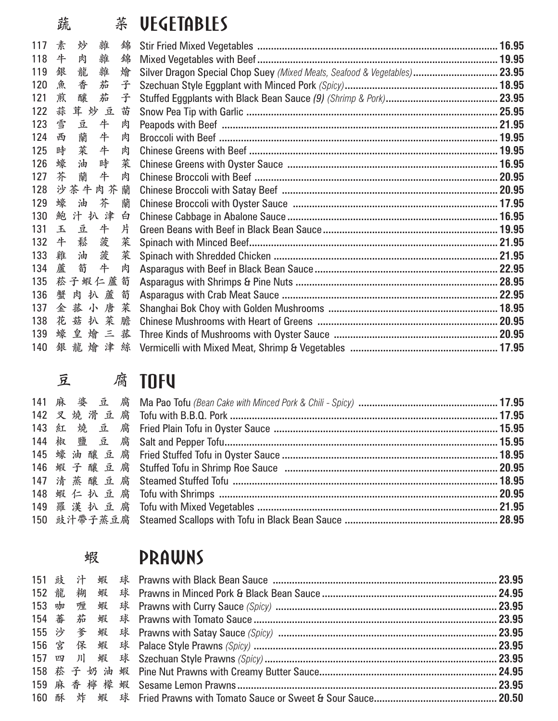## **蔬 菜**

|     | 疏 |          | टींर | <b>VEVEIHDLE&gt;</b>                                                      |  |
|-----|---|----------|------|---------------------------------------------------------------------------|--|
| 117 | 素 | 炒<br>雜   | 錦    |                                                                           |  |
| 118 | 牛 | 肉<br>雜   | 錦    |                                                                           |  |
| 119 | 銀 | 龍<br>雜   | 燴    | Silver Dragon Special Chop Suey (Mixed Meats, Seafood & Vegetables) 23.95 |  |
| 120 | 魚 | 香<br>茄   | 子    |                                                                           |  |
| 121 | 煎 | 釀<br>茄   | 子    |                                                                           |  |
| 122 | 蒜 | 茸炒豆      | 苗    |                                                                           |  |
| 123 | 雪 | 豆<br>牛   | 肉    |                                                                           |  |
| 124 |   | 西 蘭<br>牛 | 肉    |                                                                           |  |
| 125 |   | 時 菜<br>牛 | 肉    |                                                                           |  |
| 126 | 蠔 | 油<br>時   | 菜    |                                                                           |  |
| 127 | 芥 | 蘭<br>牛   | 肉    |                                                                           |  |
| 128 |   | 沙茶牛肉芥    | 蘭    |                                                                           |  |
| 129 |   | 芥<br>蠔油  | 蘭    |                                                                           |  |
| 130 |   | 鮑汁扒津     | 白    |                                                                           |  |
| 131 |   | 玉豆<br>牛  | 片    |                                                                           |  |
| 132 |   | 牛鬆<br>菠  | 菜    |                                                                           |  |
| 133 | 雞 | 菠<br>油   | 菜    |                                                                           |  |
| 134 |   | 牛<br>蘆 箚 | 肉    |                                                                           |  |
| 135 |   | 菘子蝦仁蘆筍   |      |                                                                           |  |
| 136 |   | 蟹肉扒蘆     | 筍    |                                                                           |  |
| 137 |   | 金菰小唐菜    |      |                                                                           |  |
| 138 |   | 花菇扒菜膽    |      |                                                                           |  |
| 139 |   | 蠔皇燴三菰    |      |                                                                           |  |
| 140 |   |          |      |                                                                           |  |
|     |   |          |      |                                                                           |  |

141 **麻婆豆腐** 142 **叉燒滑豆腐** 143 **紅燒豆腐** 144 **椒鹽豆腐** 145 **蠔油釀豆腐** 146 **蝦子釀豆腐** 147 **清蒸釀豆腐** 148 **蝦仁扒豆腐** 149 **羅漢扒豆腐 豆 腐**

| <b>2.</b> 肉    UTV |  |
|--------------------|--|
|                    |  |
|                    |  |
|                    |  |
|                    |  |
|                    |  |
|                    |  |
|                    |  |
|                    |  |
|                    |  |
|                    |  |
|                    |  |

| 蝦 |  |  | <b>PRAWNS</b>                                                                                        |  |
|---|--|--|------------------------------------------------------------------------------------------------------|--|
|   |  |  |                                                                                                      |  |
|   |  |  | 152   龍    糊    蝦     球    Prawns in Minced Pork & Black Bean Sauce ………………………………………………………………………24.95 |  |
|   |  |  |                                                                                                      |  |
|   |  |  |                                                                                                      |  |
|   |  |  |                                                                                                      |  |
|   |  |  |                                                                                                      |  |
|   |  |  |                                                                                                      |  |
|   |  |  |                                                                                                      |  |
|   |  |  |                                                                                                      |  |
|   |  |  |                                                                                                      |  |
|   |  |  |                                                                                                      |  |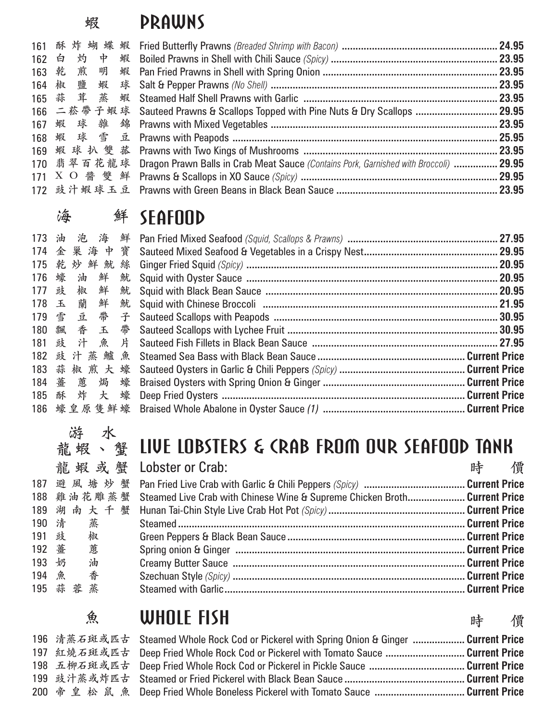## PRAWNS

**蝦**

|  | 161 酥 炸 蝴 蝶 蝦 Fried Butterfly Prawns (Breaded Shrimp with Bacon) ……………………………………………………… 24.95<br>162 白 灼 中 蝦 Boiled Prawns in Shell with Chili Sauce (Spicy) ……………………………………………………… 23.95<br>165   蒜     茸     蒸     蝦     Steamed Half Shell Prawns with Garlic  ……………………………………………………………………………… 23.95<br>166 二菘帶子蝦球 Sauteed Prawns & Scallops Topped with Pine Nuts & Dry Scallops …………………………………………………………………<br>169 蝦 球 扒 雙 菰 Prawns with Two Kings of Mushrooms ………………………………………………………………………………… 23.95<br>170 翡翠百花龍球 Dragon Prawn Balls in Crab Meat Sauce (Contains Pork, Garnished with Broccoli)  29.95<br>171 $\ X\ \ O\ \ \clubsuit\ \ \clubsuit\ \ \clubsuit\ \$ Prawns & Scallops in XO Sauce (Spicy) …………………………………………………………………………………… 29.95<br>172 豉汁蝦球玉豆 Prawns with Green Beans in Black Bean Sauce ………………………………………………………………… 23.95 |
|--|----------------------------------------------------------------------------------------------------------------------------------------------------------------------------------------------------------------------------------------------------------------------------------------------------------------------------------------------------------------------------------------------------------------------------------------------------------------------------------------------------------------------------------------------------------------------------------------------------------------------------------------------------------------------------------------------------------------------------------------------------------------------------------------------------------------------------------------------|

## **海 鮮**

| V <b>实</b> |           | <b>Att Dehituup</b>                                                                            |  |
|------------|-----------|------------------------------------------------------------------------------------------------|--|
|            |           |                                                                                                |  |
|            | 174 金巢海中寶 |                                                                                                |  |
|            |           | 175 乾 妙 鮮 魷 絲 Ginger Fried Squid <i>(Spicy)</i> ………………………………………………………………………………… 20.95          |  |
|            |           |                                                                                                |  |
|            | 177 豉 椒 鮮 |                                                                                                |  |
|            | 178 玉蘭鮮   |                                                                                                |  |
|            |           |                                                                                                |  |
|            |           |                                                                                                |  |
|            |           |                                                                                                |  |
|            |           |                                                                                                |  |
|            | 183 蒜椒煎大蠔 |                                                                                                |  |
|            |           | 184 薹 蔥 焗 蠔 Braised Oysters with Spring Onion & Ginger ……………………………………………………Current Price       |  |
|            |           | 185   酥    炸     大     蠔    Deep Fried Oysters ……………………………………………………………………………………… Current Price |  |
|            |           | 186 蠔皇原隻鮮蠔 Braised Whole Abalone in Oyster Sauce (1) ……………………………………………………Current Price         |  |

# **游 水**

|       |           | <u> 龍 蝦 、 蟹 【IVE LUBSIERS &amp; CRAB FRUM UVR SEAFUUD IANK</u>                       |     |  |
|-------|-----------|--------------------------------------------------------------------------------------|-----|--|
|       |           | 龍 蝦 或 蟹 Lobster or Crab:                                                             | 時 價 |  |
|       |           |                                                                                      |     |  |
|       |           | 188 雞油花雕蒸蟹 Steamed Live Crab with Chinese Wine & Supreme Chicken Broth Current Price |     |  |
|       | 189 湖南大千蟹 |                                                                                      |     |  |
|       | 190 清 蒸   |                                                                                      |     |  |
|       | 191 豉 椒   |                                                                                      |     |  |
|       | 192 薑 蔥   |                                                                                      |     |  |
| 193 奶 | 油         |                                                                                      |     |  |
|       | 194 魚 香   |                                                                                      |     |  |
|       | 195 蒜蓉蒸   |                                                                                      |     |  |
|       |           |                                                                                      |     |  |

### **魚** WHOLE FISH

|  | 196 清蒸石斑或匹古 Steamed Whole Rock Cod or Pickerel with Spring Onion & Ginger  Current Price |  |
|--|------------------------------------------------------------------------------------------|--|
|  | 197 红烧石斑或匹古 Deep Fried Whole Rock Cod or Pickerel with Tomato Sauce Current Price        |  |
|  | 198 五柳石斑或匹古 Deep Fried Whole Rock Cod or Pickerel in Pickle Sauce  Current Price         |  |
|  |                                                                                          |  |
|  | 200 帝皇松鼠魚 Deep Fried Whole Boneless Pickerel with Tomato Sauce Current Price             |  |

**時 價**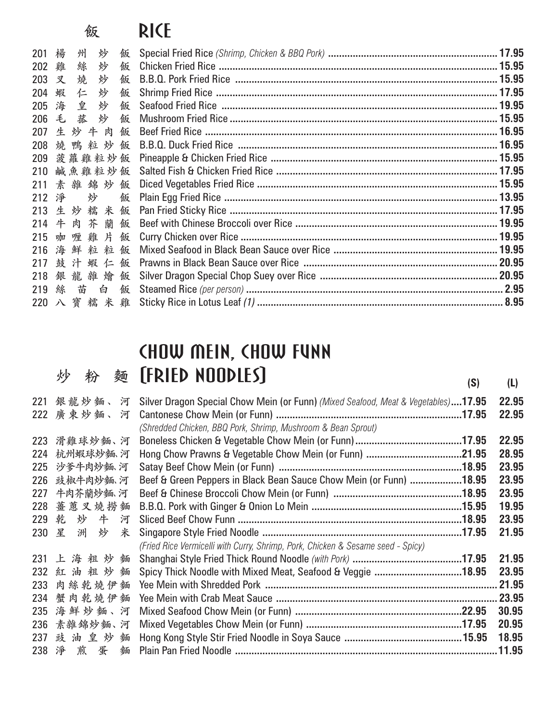## **<sup>飯</sup>** RICE

| 201 | 楊 | 州         | 炒 | 飯 |  |
|-----|---|-----------|---|---|--|
| 202 | 雞 | 絲         | 炒 | 飯 |  |
| 203 | 叉 | 燒         | 炒 | 飯 |  |
| 204 | 蝦 | 仁         | 炒 | 飯 |  |
| 205 | 海 | 皇         | 炒 | 飯 |  |
| 206 |   | 毛菰        | 炒 | 飯 |  |
| 207 |   | 生炒牛肉      |   | 飯 |  |
| 208 |   | 燒鴨粒炒      |   | 飯 |  |
| 209 |   | 菠蘿雞粒炒飯    |   |   |  |
| 210 |   | 鹹魚雞粒炒飯    |   |   |  |
|     |   | 211 素雜錦炒飯 |   |   |  |
| 212 | 淨 | 炒         |   | 飯 |  |
| 213 |   | 生炒糯米飯     |   |   |  |
| 214 |   | 牛肉芥蘭      |   | 飯 |  |
| 215 |   | 咖喱雞片飯     |   |   |  |
| 216 |   | 海鮮粒粒飯     |   |   |  |
| 217 |   | 鼓汁蝦仁飯     |   |   |  |
| 218 |   | 銀龍雜燴飯     |   |   |  |
|     |   | 219 絲 苗   | 白 | 飯 |  |
|     |   |           |   |   |  |
|     |   |           |   |   |  |

# CHOW MEIN, CHOW FUNN<br>(FRIED NOODLES)

|     | 炒 |             | 麵 | [FRIED NOODLES]                                                                   | (S) | (L)    |
|-----|---|-------------|---|-----------------------------------------------------------------------------------|-----|--------|
| 221 |   | 銀龍炒麵、河      |   | Silver Dragon Special Chow Mein (or Funn) (Mixed Seafood, Meat & Vegetables)17.95 |     | 22.95  |
|     |   | 222 廣東炒麵、河  |   |                                                                                   |     | 22.95  |
|     |   |             |   | (Shredded Chicken, BBQ Pork, Shrimp, Mushroom & Bean Sprout)                      |     |        |
|     |   | 223 滑雞球炒麵、河 |   |                                                                                   |     | 22.95  |
| 224 |   | 杭州蝦球炒麵 河    |   |                                                                                   |     | 28.95  |
| 225 |   | 沙爹牛肉炒麵河     |   |                                                                                   |     | 23.95  |
| 226 |   | 豉椒牛肉炒麵河     |   | Beef & Green Peppers in Black Bean Sauce Chow Mein (or Funn) 18.95                |     | 23.95  |
| 227 |   | 牛肉芥蘭炒麵、河    |   |                                                                                   |     | 23.95  |
|     |   | 228 薑蔥叉燒撈麵  |   |                                                                                   |     | 19.95  |
|     |   | 229 乾 炒 牛   | 河 |                                                                                   |     | 23.95  |
|     |   | 230 星 洲 炒 米 |   |                                                                                   |     | 21.95  |
|     |   |             |   | (Fried Rice Vermicelli with Curry, Shrimp, Pork, Chicken & Sesame seed - Spicy)   |     |        |
|     |   | 231 上海粗炒麵   |   |                                                                                   |     | 21.95  |
| 232 |   | 紅油粗炒麵       |   | Spicy Thick Noodle with Mixed Meat, Seafood & Veggie 18.95                        |     | 23.95  |
| 233 |   | 肉絲乾燒伊麵      |   |                                                                                   |     |        |
| 234 |   | 蟹肉乾燒伊麵      |   |                                                                                   |     |        |
| 235 |   | 海鮮炒麵、河      |   |                                                                                   |     | 30.95  |
| 236 |   | 素雜錦炒麵、河     |   |                                                                                   |     | 20.95  |
|     |   | 237 豉油皇炒麵   |   |                                                                                   |     | 18.95  |
|     |   | 238 淨 煎 蛋   | 麵 |                                                                                   |     | .11.95 |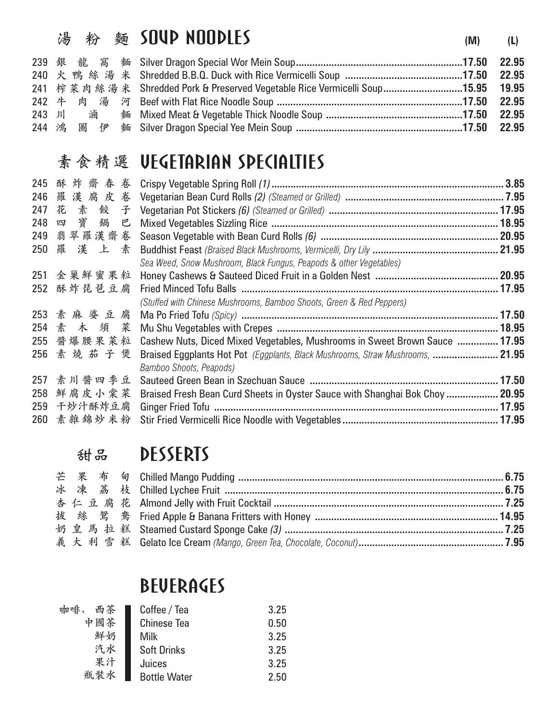|  | 湯 粉 麵 SOUP NOODLES<br>(M)                                                      | (L) |
|--|--------------------------------------------------------------------------------|-----|
|  |                                                                                |     |
|  |                                                                                |     |
|  | 241 榨菜肉絲湯米 Shredded Pork & Preserved Vegetable Rice Vermicelli Soup15.95 19.95 |     |
|  | 242 牛 肉 湯 河 Beef with Flat Rice Noodle Soup ……………………………………………………………17.50 22.95 |     |
|  |                                                                                |     |
|  |                                                                                |     |
|  |                                                                                |     |

### **素食精選**

|     |             | 系 食 和 选 VEVEIHKIHN )PEVIHLIIE)                                                 |  |
|-----|-------------|--------------------------------------------------------------------------------|--|
| 245 | 酥炸齋春卷       |                                                                                |  |
| 246 | 羅漢腐皮卷       |                                                                                |  |
| 247 | 花素餃子        |                                                                                |  |
|     | 248 四 寶 鍋 巴 |                                                                                |  |
|     | 249 翡翠羅漢齋卷  |                                                                                |  |
|     | 250 羅漢上素    |                                                                                |  |
|     |             | Sea Weed, Snow Mushroom, Black Fungus, Peapods & other Vegetables)             |  |
|     | 251 金巢鮮蜜果粒  |                                                                                |  |
|     | 252 酥炸琵琶豆腐  |                                                                                |  |
|     |             | (Stuffed with Chinese Mushrooms, Bamboo Shoots, Green & Red Peppers)           |  |
|     | 253 素麻婆豆腐   |                                                                                |  |
|     | 254 素 木 須 菜 |                                                                                |  |
| 255 | 醬爆腰果菜粒      | Cashew Nuts, Diced Mixed Vegetables, Mushrooms in Sweet Brown Sauce  17.95     |  |
|     | 256 素燒茄子煲   | Braised Eggplants Hot Pot (Eggplants, Black Mushrooms, Straw Mushrooms,  21.95 |  |
|     |             | Bamboo Shoots, Peapods)                                                        |  |
|     | 257 素川醬四季豆  |                                                                                |  |
| 258 | 鮮腐皮小棠菜      | Braised Fresh Bean Curd Sheets in Oyster Sauce with Shanghai Bok Choy  20.95   |  |
|     | 259 干炒汁酥炸豆腐 |                                                                                |  |
|     | 260 素雜錦炒米粉  |                                                                                |  |

|  | 甜品 DESSERTS                                                                          |  |
|--|--------------------------------------------------------------------------------------|--|
|  |                                                                                      |  |
|  |                                                                                      |  |
|  |                                                                                      |  |
|  | 拔 絲 鴛 鴦 Fried Apple & Banana Fritters with Honey ………………………………………………………………………………14.95 |  |
|  |                                                                                      |  |
|  |                                                                                      |  |
|  |                                                                                      |  |

## **BEUERAGES**

| 咖啡、<br>西茶 | Coffee / Tea        | 3.25 |
|-----------|---------------------|------|
| 中國茶       | <b>Chinese Tea</b>  | 0.50 |
| 鮮奶        | Milk                | 3.25 |
| 汽水        | <b>Soft Drinks</b>  | 3.25 |
| 果汁        | Juices              | 3.25 |
| 瓶装水       | <b>Bottle Water</b> | 2.50 |